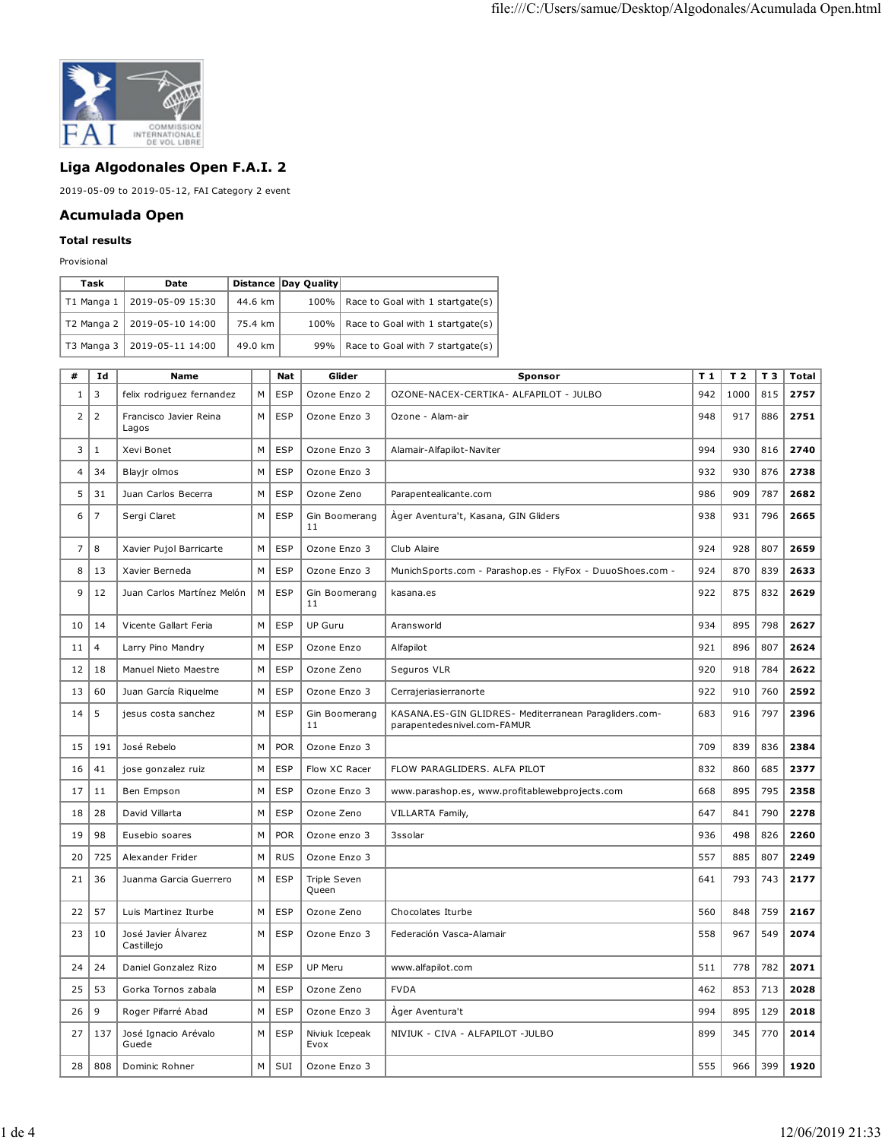

## **Liga Algodonales Open F.A.I. 2**

2019-05-09 to 2019-05-12, FAI Category 2 event

## **Acumulada Open**

## **Total results**

Provisional

| Task                   | Date                          |         | Distance Day Quality |                                         |
|------------------------|-------------------------------|---------|----------------------|-----------------------------------------|
| T1 Manga $1 \parallel$ | 2019-05-09 15:30              | 44.6 km |                      | 100%   Race to Goal with 1 startgate(s) |
|                        | T2 Manga 2   2019-05-10 14:00 | 75.4 km |                      | 100%   Race to Goal with 1 startgate(s) |
|                        | T3 Manga 3   2019-05-11 14:00 | 49.0 km |                      | 99%   Race to Goal with 7 startgate(s)  |

| #              | Id             | <b>Name</b>                       |   | Nat        | Glider                 | Sponsor                                                                              | T 1 | T <sub>2</sub> | T 3 | Total |
|----------------|----------------|-----------------------------------|---|------------|------------------------|--------------------------------------------------------------------------------------|-----|----------------|-----|-------|
| 1              | 3              | felix rodriguez fernandez         | M | <b>ESP</b> | Ozone Enzo 2           | OZONE-NACEX-CERTIKA- ALFAPILOT - JULBO                                               | 942 | 1000           | 815 | 2757  |
| $\overline{2}$ | $\overline{2}$ | Francisco Javier Reina<br>Lagos   | M | <b>ESP</b> | Ozone Enzo 3           | Ozone - Alam-air                                                                     | 948 | 917            | 886 | 2751  |
| 3              | 1              | Xevi Bonet                        | M | <b>ESP</b> | Ozone Enzo 3           | Alamair-Alfapilot-Naviter                                                            | 994 | 930            | 816 | 2740  |
| 4              | 34             | Blayjr olmos                      | M | <b>ESP</b> | Ozone Enzo 3           |                                                                                      | 932 | 930            | 876 | 2738  |
| 5              | 31             | Juan Carlos Becerra               | M | ESP        | Ozone Zeno             | Parapentealicante.com                                                                | 986 | 909            | 787 | 2682  |
| 6              | $\overline{7}$ | Sergi Claret                      | M | <b>ESP</b> | Gin Boomerang<br>11    | Àger Aventura't, Kasana, GIN Gliders                                                 | 938 | 931            | 796 | 2665  |
| 7              | 8              | Xavier Pujol Barricarte           | M | ESP        | Ozone Enzo 3           | Club Alaire                                                                          | 924 | 928            | 807 | 2659  |
| 8              | 13             | Xavier Berneda                    | M | <b>ESP</b> | Ozone Enzo 3           | MunichSports.com - Parashop.es - FlyFox - DuuoShoes.com -                            | 924 | 870            | 839 | 2633  |
| 9              | 12             | Juan Carlos Martínez Melón        | M | <b>ESP</b> | Gin Boomerang<br>11    | kasana.es                                                                            | 922 | 875            | 832 | 2629  |
| 10             | 14             | Vicente Gallart Feria             | M | <b>ESP</b> | <b>UP Guru</b>         | Aransworld                                                                           | 934 | 895            | 798 | 2627  |
| 11             | $\overline{4}$ | Larry Pino Mandry                 | M | ESP        | Ozone Enzo             | Alfapilot                                                                            | 921 | 896            | 807 | 2624  |
| 12             | 18             | Manuel Nieto Maestre              | M | <b>ESP</b> | Ozone Zeno             | Seguros VLR                                                                          | 920 | 918            | 784 | 2622  |
| 13             | 60             | Juan García Riquelme              | M | <b>ESP</b> | Ozone Enzo 3           | Cerrajeriasierranorte                                                                | 922 | 910            | 760 | 2592  |
| 14             | 5              | jesus costa sanchez               | M | <b>ESP</b> | Gin Boomerang<br>11    | KASANA.ES-GIN GLIDRES- Mediterranean Paragliders.com-<br>parapentedesnivel.com-FAMUR | 683 | 916            | 797 | 2396  |
| 15             | 191            | José Rebelo                       | M | <b>POR</b> | Ozone Enzo 3           |                                                                                      | 709 | 839            | 836 | 2384  |
| 16             | 41             | jose gonzalez ruiz                | M | <b>ESP</b> | Flow XC Racer          | FLOW PARAGLIDERS. ALFA PILOT                                                         | 832 | 860            | 685 | 2377  |
| 17             | 11             | Ben Empson                        | M | ESP        | Ozone Enzo 3           | www.parashop.es, www.profitablewebprojects.com                                       | 668 | 895            | 795 | 2358  |
| 18             | 28             | David Villarta                    | M | <b>ESP</b> | Ozone Zeno             | <b>VILLARTA Family,</b>                                                              | 647 | 841            | 790 | 2278  |
| 19             | 98             | Eusebio soares                    | M | <b>POR</b> | Ozone enzo 3           | 3ssolar                                                                              | 936 | 498            | 826 | 2260  |
| 20             | 725            | Alexander Frider                  | M | <b>RUS</b> | Ozone Enzo 3           |                                                                                      | 557 | 885            | 807 | 2249  |
| 21             | 36             | Juanma Garcia Guerrero            | M | <b>ESP</b> | Triple Seven<br>Queen  |                                                                                      | 641 | 793            | 743 | 2177  |
| 22             | 57             | Luis Martinez Iturbe              | M | <b>ESP</b> | Ozone Zeno             | Chocolates Iturbe                                                                    | 560 | 848            | 759 | 2167  |
| 23             | 10             | José Javier Álvarez<br>Castillejo | M | ESP        | Ozone Enzo 3           | Federación Vasca-Alamair                                                             | 558 | 967            | 549 | 2074  |
| 24             | 24             | Daniel Gonzalez Rizo              | M | <b>ESP</b> | UP Meru                | www.alfapilot.com                                                                    | 511 | 778            | 782 | 2071  |
| 25             | 53             | Gorka Tornos zabala               | M | <b>ESP</b> | Ozone Zeno             | <b>FVDA</b>                                                                          | 462 | 853            | 713 | 2028  |
| 26             | 9              | Roger Pifarré Abad                | M | <b>ESP</b> | Ozone Enzo 3           | Ager Aventura't                                                                      | 994 | 895            | 129 | 2018  |
| 27             | 137            | José Ignacio Arévalo<br>Guede     | M | <b>ESP</b> | Niviuk Icepeak<br>Evox | NIVIUK - CIVA - ALFAPILOT -JULBO                                                     | 899 | 345            | 770 | 2014  |
| 28             | 808            | Dominic Rohner                    | M | SUI        | Ozone Enzo 3           |                                                                                      | 555 | 966            | 399 | 1920  |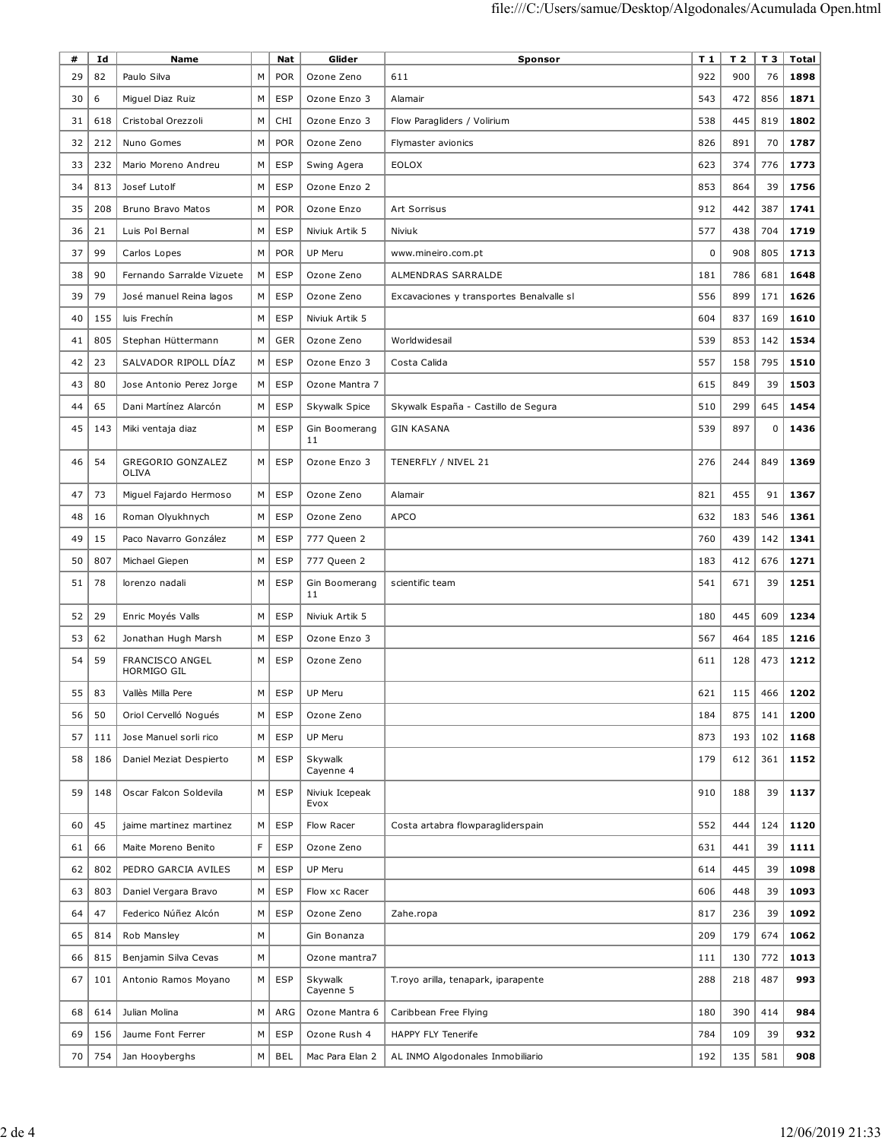| #  | Id  | <b>Name</b>                           |   | Nat        | Glider                 | Sponsor                                  | T <sub>1</sub> | T 2 | T 3 | <b>Total</b> |
|----|-----|---------------------------------------|---|------------|------------------------|------------------------------------------|----------------|-----|-----|--------------|
| 29 | 82  | Paulo Silva                           | M | <b>POR</b> | Ozone Zeno             | 611                                      | 922            | 900 | 76  | 1898         |
| 30 | 6   | Miguel Diaz Ruiz                      | М | <b>ESP</b> | Ozone Enzo 3           | Alamair                                  | 543            | 472 | 856 | 1871         |
| 31 | 618 | Cristobal Orezzoli                    | М | CHI        | Ozone Enzo 3           | Flow Paragliders / Volirium              | 538            | 445 | 819 | 1802         |
| 32 | 212 | Nuno Gomes                            | M | <b>POR</b> | Ozone Zeno             | Flymaster avionics                       | 826            | 891 | 70  | 1787         |
| 33 | 232 | Mario Moreno Andreu                   | M | <b>ESP</b> | Swing Agera            | <b>EOLOX</b>                             | 623            | 374 | 776 | 1773         |
| 34 | 813 | Josef Lutolf                          | M | <b>ESP</b> | Ozone Enzo 2           |                                          | 853            | 864 | 39  | 1756         |
| 35 | 208 | Bruno Bravo Matos                     | M | <b>POR</b> | Ozone Enzo             | Art Sorrisus                             | 912            | 442 | 387 | 1741         |
| 36 | 21  | Luis Pol Bernal                       | M | <b>ESP</b> | Niviuk Artik 5         | Niviuk                                   | 577            | 438 | 704 | 1719         |
| 37 | 99  | Carlos Lopes                          | M | <b>POR</b> | UP Meru                | www.mineiro.com.pt                       | 0              | 908 | 805 | 1713         |
| 38 | 90  | Fernando Sarralde Vizuete             | М | <b>ESP</b> | Ozone Zeno             | ALMENDRAS SARRALDE                       | 181            | 786 | 681 | 1648         |
| 39 | 79  | José manuel Reina lagos               | М | <b>ESP</b> | Ozone Zeno             | Excavaciones y transportes Benalvalle sl | 556            | 899 | 171 | 1626         |
| 40 | 155 | luis Frechín                          | M | <b>ESP</b> | Niviuk Artik 5         |                                          | 604            | 837 | 169 | 1610         |
| 41 | 805 | Stephan Hüttermann                    | M | GER        | Ozone Zeno             | Worldwidesail                            | 539            | 853 | 142 | 1534         |
| 42 | 23  | SALVADOR RIPOLL DÍAZ                  | М | <b>ESP</b> | Ozone Enzo 3           | Costa Calida                             | 557            | 158 | 795 | 1510         |
| 43 | 80  | Jose Antonio Perez Jorge              | М | ESP        | Ozone Mantra 7         |                                          | 615            | 849 | 39  | 1503         |
| 44 | 65  | Dani Martínez Alarcón                 | М | <b>ESP</b> | Skywalk Spice          | Skywalk España - Castillo de Segura      | 510            | 299 | 645 | 1454         |
| 45 | 143 | Miki ventaja diaz                     | M | <b>ESP</b> | Gin Boomerang<br>11    | <b>GIN KASANA</b>                        | 539            | 897 | 0   | 1436         |
| 46 | 54  | GREGORIO GONZALEZ<br>OLIVA            | М | <b>ESP</b> | Ozone Enzo 3           | TENERFLY / NIVEL 21                      | 276            | 244 | 849 | 1369         |
| 47 | 73  | Miguel Fajardo Hermoso                | М | <b>ESP</b> | Ozone Zeno             | Alamair                                  | 821            | 455 | 91  | 1367         |
| 48 | 16  | Roman Olyukhnych                      | М | <b>ESP</b> | Ozone Zeno             | <b>APCO</b>                              | 632            | 183 | 546 | 1361         |
| 49 | 15  | Paco Navarro González                 | M | ESP        | 777 Queen 2            |                                          | 760            | 439 | 142 | 1341         |
| 50 | 807 | Michael Giepen                        | M | ESP        | 777 Queen 2            |                                          | 183            | 412 | 676 | 1271         |
| 51 | 78  | lorenzo nadali                        | М | <b>ESP</b> | Gin Boomerang<br>11    | scientific team                          | 541            | 671 | 39  | 1251         |
| 52 | 29  | Enric Moyés Valls                     | M | <b>ESP</b> | Niviuk Artik 5         |                                          | 180            | 445 | 609 | 1234         |
| 53 | 62  | Jonathan Hugh Marsh                   | M | <b>ESP</b> | Ozone Enzo 3           |                                          | 567            | 464 | 185 | 1216         |
| 54 | 59  | <b>FRANCISCO ANGEL</b><br>HORMIGO GIL | М | ESP        | Ozone Zeno             |                                          | 611            | 128 | 473 | 1212         |
| 55 | 83  | Vallès Milla Pere                     | M | ESP        | UP Meru                |                                          | 621            | 115 | 466 | 1202         |
| 56 | 50  | Oriol Cervelló Nogués                 | М | <b>ESP</b> | Ozone Zeno             |                                          | 184            | 875 | 141 | 1200         |
| 57 | 111 | Jose Manuel sorli rico                | M | <b>ESP</b> | <b>UP Meru</b>         |                                          | 873            | 193 | 102 | 1168         |
| 58 | 186 | Daniel Meziat Despierto               | М | <b>ESP</b> | Skywalk<br>Cayenne 4   |                                          | 179            | 612 | 361 | 1152         |
| 59 | 148 | Oscar Falcon Soldevila                | М | <b>ESP</b> | Niviuk Icepeak<br>Evox |                                          | 910            | 188 | 39  | 1137         |
| 60 | 45  | jaime martinez martinez               | M | <b>ESP</b> | Flow Racer             | Costa artabra flowparagliderspain        | 552            | 444 | 124 | 1120         |
| 61 | 66  | Maite Moreno Benito                   | F | <b>ESP</b> | Ozone Zeno             |                                          | 631            | 441 | 39  | 1111         |
| 62 | 802 | PEDRO GARCIA AVILES                   | M | <b>ESP</b> | <b>UP Meru</b>         |                                          | 614            | 445 | 39  | 1098         |
| 63 | 803 | Daniel Vergara Bravo                  | M | <b>ESP</b> | Flow xc Racer          |                                          | 606            | 448 | 39  | 1093         |
| 64 | 47  | Federico Núñez Alcón                  | M | <b>ESP</b> | Ozone Zeno             | Zahe.ropa                                | 817            | 236 | 39  | 1092         |
| 65 | 814 | Rob Mansley                           | M |            | Gin Bonanza            |                                          | 209            | 179 | 674 | 1062         |
| 66 | 815 | Benjamin Silva Cevas                  | M |            | Ozone mantra7          |                                          | 111            | 130 | 772 | 1013         |
| 67 | 101 | Antonio Ramos Moyano                  | М | <b>ESP</b> | Skywalk<br>Cayenne 5   | T.royo arilla, tenapark, iparapente      | 288            | 218 | 487 | 993          |
| 68 | 614 | Julian Molina                         | M | ARG        | Ozone Mantra 6         | Caribbean Free Flying                    | 180            | 390 | 414 | 984          |
| 69 | 156 | Jaume Font Ferrer                     | M | <b>ESP</b> | Ozone Rush 4           | <b>HAPPY FLY Tenerife</b>                | 784            | 109 | 39  | 932          |
| 70 | 754 | Jan Hooyberghs                        | М | <b>BEL</b> | Mac Para Elan 2        | AL INMO Algodonales Inmobiliario         | 192            | 135 | 581 | 908          |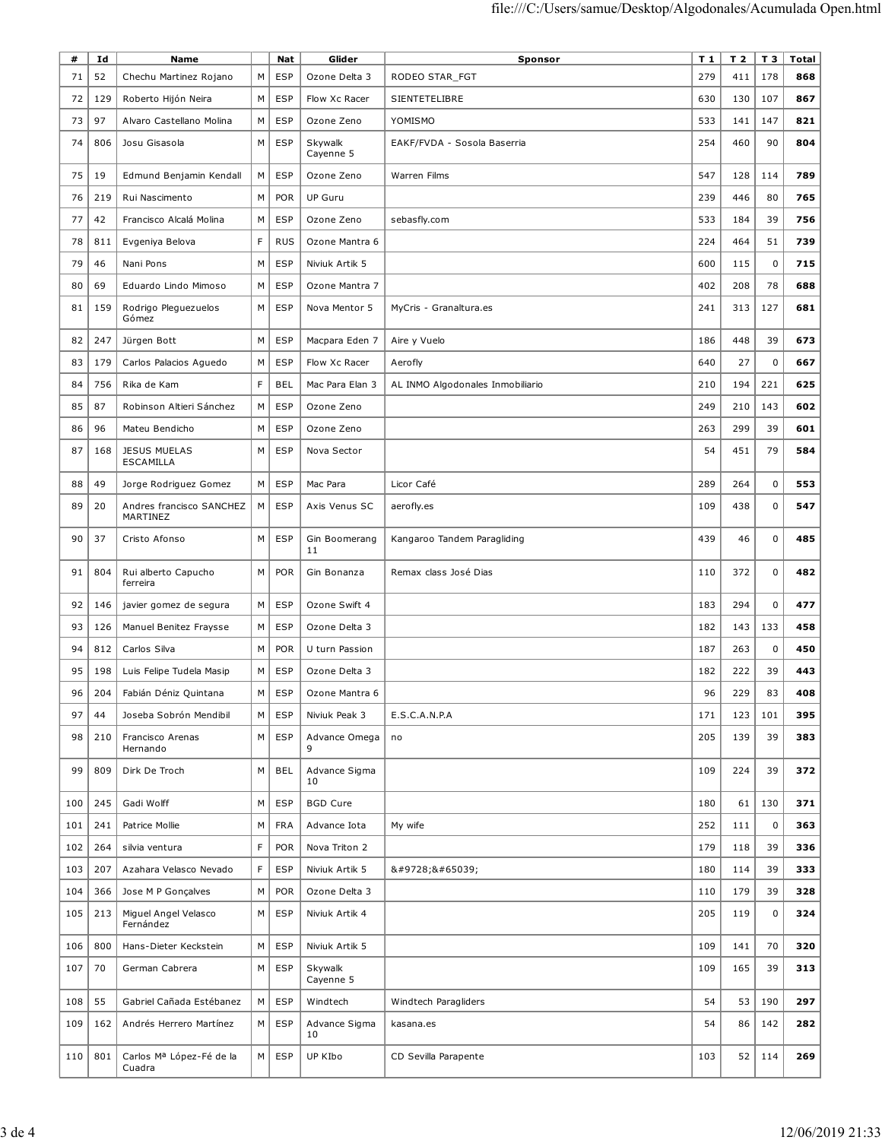| #   | Ιd  | Name                                 |   | Nat        | Glider               | Sponsor                          | T 1 | T <sub>2</sub> | T 3         | Total |
|-----|-----|--------------------------------------|---|------------|----------------------|----------------------------------|-----|----------------|-------------|-------|
| 71  | 52  | Chechu Martinez Rojano               | M | <b>ESP</b> | Ozone Delta 3        | RODEO STAR_FGT                   | 279 | 411            | 178         | 868   |
| 72  | 129 | Roberto Hijón Neira                  | M | <b>ESP</b> | Flow Xc Racer        | SIENTETELIBRE                    | 630 | 130            | 107         | 867   |
| 73  | 97  | Alvaro Castellano Molina             | M | <b>ESP</b> | Ozone Zeno           | YOMISMO                          | 533 | 141            | 147         | 821   |
|     |     |                                      |   |            |                      |                                  |     |                |             |       |
| 74  | 806 | Josu Gisasola                        | M | <b>ESP</b> | Skywalk<br>Cayenne 5 | EAKF/FVDA - Sosola Baserria      | 254 | 460            | 90          | 804   |
| 75  | 19  | Edmund Benjamin Kendall              | M | <b>ESP</b> | Ozone Zeno           | Warren Films                     | 547 | 128            | 114         | 789   |
|     | 219 | Rui Nascimento                       | M | <b>POR</b> | <b>UP Guru</b>       |                                  | 239 | 446            | 80          | 765   |
| 76  |     |                                      |   |            |                      |                                  |     |                |             |       |
| 77  | 42  | Francisco Alcalá Molina              | M | <b>ESP</b> | Ozone Zeno           | sebasfly.com                     | 533 | 184            | 39          | 756   |
| 78  | 811 | Evgeniya Belova                      | F | <b>RUS</b> | Ozone Mantra 6       |                                  | 224 | 464            | 51          | 739   |
| 79  | 46  | Nani Pons                            | M | <b>ESP</b> | Niviuk Artik 5       |                                  | 600 | 115            | $\mathbf 0$ | 715   |
| 80  | 69  | Eduardo Lindo Mimoso                 | M | <b>ESP</b> | Ozone Mantra 7       |                                  | 402 | 208            | 78          | 688   |
| 81  | 159 | Rodrigo Pleguezuelos<br>Gómez        | М | <b>ESP</b> | Nova Mentor 5        | MyCris - Granaltura.es           | 241 | 313            | 127         | 681   |
| 82  | 247 | Jürgen Bott                          | M | ESP        | Macpara Eden 7       | Aire y Vuelo                     | 186 | 448            | 39          | 673   |
| 83  | 179 | Carlos Palacios Aguedo               | M | <b>ESP</b> | Flow Xc Racer        | Aerofly                          | 640 | 27             | $\pmb{0}$   | 667   |
| 84  | 756 | Rika de Kam                          | F | <b>BEL</b> | Mac Para Elan 3      | AL INMO Algodonales Inmobiliario | 210 | 194            | 221         | 625   |
| 85  | 87  | Robinson Altieri Sánchez             | M | <b>ESP</b> | Ozone Zeno           |                                  | 249 | 210            | 143         | 602   |
| 86  | 96  | Mateu Bendicho                       | M | <b>ESP</b> | Ozone Zeno           |                                  | 263 | 299            | 39          | 601   |
| 87  | 168 | <b>JESUS MUELAS</b>                  | M | <b>ESP</b> | Nova Sector          |                                  | 54  | 451            | 79          | 584   |
|     |     | <b>ESCAMILLA</b>                     |   |            |                      |                                  |     |                |             |       |
| 88  | 49  | Jorge Rodriguez Gomez                | М | <b>ESP</b> | Mac Para             | Licor Café                       | 289 | 264            | $\mathbf 0$ | 553   |
| 89  | 20  | Andres francisco SANCHEZ<br>MARTINEZ | М | <b>ESP</b> | Axis Venus SC        | aerofly.es                       | 109 | 438            | $\mathbf 0$ | 547   |
| 90  | 37  | Cristo Afonso                        | M | <b>ESP</b> | Gin Boomerang<br>11  | Kangaroo Tandem Paragliding      | 439 | 46             | $\pmb{0}$   | 485   |
| 91  | 804 | Rui alberto Capucho<br>ferreira      | M | <b>POR</b> | Gin Bonanza          | Remax class José Dias            | 110 | 372            | $\mathbf 0$ | 482   |
| 92  | 146 | javier gomez de segura               | М | ESP        | Ozone Swift 4        |                                  | 183 | 294            | $\mathbf 0$ | 477   |
| 93  | 126 | Manuel Benitez Fraysse               | М | <b>ESP</b> | Ozone Delta 3        |                                  | 182 | 143            | 133         | 458   |
| 94  | 812 | Carlos Silva                         | M | <b>POR</b> | U turn Passion       |                                  | 187 | 263            | $\mathbf 0$ | 450   |
| 95  | 198 | Luis Felipe Tudela Masip             | М | <b>ESP</b> | Ozone Delta 3        |                                  | 182 | 222            | 39          | 443   |
| 96  | 204 | Fabián Déniz Quintana                | М | <b>ESP</b> | Ozone Mantra 6       |                                  | 96  | 229            | 83          | 408   |
| 97  | 44  | Joseba Sobrón Mendibil               | М | ESP        | Niviuk Peak 3        | E.S.C.A.N.P.A                    | 171 | 123            | 101         | 395   |
|     |     |                                      |   |            |                      |                                  |     |                |             |       |
| 98  | 210 | Francisco Arenas<br>Hernando         | M | <b>ESP</b> | Advance Omega<br>9   | no                               | 205 | 139            | 39          | 383   |
| 99  | 809 | Dirk De Troch                        | M | <b>BEL</b> | Advance Sigma<br>10  |                                  | 109 | 224            | 39          | 372   |
| 100 | 245 | Gadi Wolff                           | M | <b>ESP</b> | <b>BGD Cure</b>      |                                  | 180 | 61             | 130         | 371   |
| 101 | 241 | Patrice Mollie                       | M | <b>FRA</b> | Advance Iota         | My wife                          | 252 | 111            | $\mathbf 0$ | 363   |
| 102 | 264 | silvia ventura                       | F | <b>POR</b> | Nova Triton 2        |                                  | 179 | 118            | 39          | 336   |
| 103 | 207 | Azahara Velasco Nevado               | F | <b>ESP</b> | Niviuk Artik 5       | ☀️                               | 180 | 114            | 39          | 333   |
| 104 | 366 | Jose M P Gonçalves                   | М | <b>POR</b> | Ozone Delta 3        |                                  | 110 | 179            | 39          | 328   |
| 105 | 213 | Miguel Angel Velasco                 | М | <b>ESP</b> | Niviuk Artik 4       |                                  | 205 | 119            | $\mathbf 0$ | 324   |
|     |     | Fernández                            |   |            |                      |                                  |     |                |             |       |
| 106 | 800 | Hans-Dieter Keckstein                | M | <b>ESP</b> | Niviuk Artik 5       |                                  | 109 | 141            | 70          | 320   |
| 107 | 70  | German Cabrera                       | M | <b>ESP</b> | Skywalk<br>Cayenne 5 |                                  | 109 | 165            | 39          | 313   |
| 108 | 55  | Gabriel Cañada Estébanez             | М | <b>ESP</b> | Windtech             | Windtech Paragliders             | 54  | 53             | 190         | 297   |
| 109 | 162 | Andrés Herrero Martínez              | М | <b>ESP</b> | Advance Sigma<br>10  | kasana.es                        | 54  | 86             | 142         | 282   |
| 110 | 801 | Carlos Mª López-Fé de la<br>Cuadra   | М | <b>ESP</b> | UP KIbo              | CD Sevilla Parapente             | 103 | 52             | 114         | 269   |